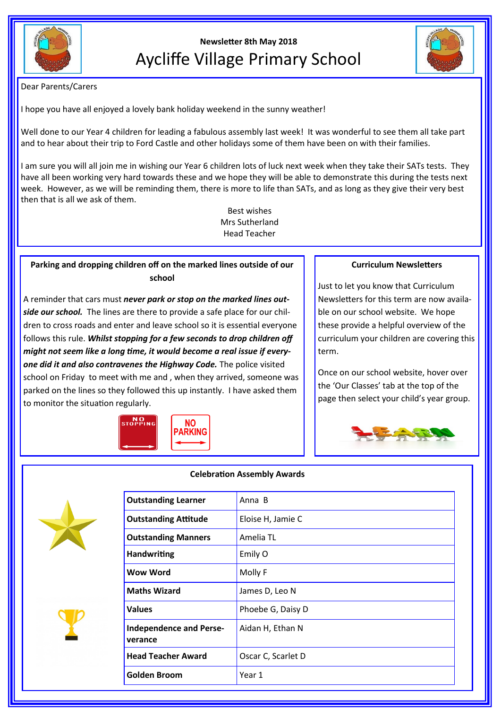

**Newsletter 8th May 2018** Aycliffe Village Primary School



Dear Parents/Carers

I hope you have all enjoyed a lovely bank holiday weekend in the sunny weather!

Well done to our Year 4 children for leading a fabulous assembly last week! It was wonderful to see them all take part and to hear about their trip to Ford Castle and other holidays some of them have been on with their families.

I am sure you will all join me in wishing our Year 6 children lots of luck next week when they take their SATs tests. They have all been working very hard towards these and we hope they will be able to demonstrate this during the tests next week. However, as we will be reminding them, there is more to life than SATs, and as long as they give their very best then that is all we ask of them.

> Best wishes Mrs Sutherland Head Teacher

# **Parking and dropping children off on the marked lines outside of our school**

A reminder that cars must *never park or stop on the marked lines outside our school.* The lines are there to provide a safe place for our children to cross roads and enter and leave school so it is essential everyone follows this rule. *Whilst stopping for a few seconds to drop children off might not seem like a long time, it would become a real issue if everyone did it and also contravenes the Highway Code.* The police visited school on Friday to meet with me and , when they arrived, someone was parked on the lines so they followed this up instantly. I have asked them to monitor the situation regularly.



## **Curriculum Newsletters**

Just to let you know that Curriculum Newsletters for this term are now available on our school website. We hope these provide a helpful overview of the curriculum your children are covering this term.

Once on our school website, hover over the 'Our Classes' tab at the top of the page then select your child's year group.







**verance**

| <b>Outstanding Attitude</b><br>Eloise H, Jamie C<br><b>Outstanding Manners</b><br>Amelia TL<br><b>Handwriting</b><br>Emily O |  |
|------------------------------------------------------------------------------------------------------------------------------|--|
|                                                                                                                              |  |
|                                                                                                                              |  |
|                                                                                                                              |  |
| Wow Word<br>Molly F                                                                                                          |  |
| <b>Maths Wizard</b><br>James D, Leo N                                                                                        |  |
| <b>Values</b><br>Phoebe G, Daisy D                                                                                           |  |
| <b>Independence and Perse-</b><br>Aidan H, Ethan N<br>verance                                                                |  |
| <b>Head Teacher Award</b><br>Oscar C, Scarlet D                                                                              |  |
| <b>Golden Broom</b><br>Year 1                                                                                                |  |
|                                                                                                                              |  |

### **Celebration Assembly Awards**